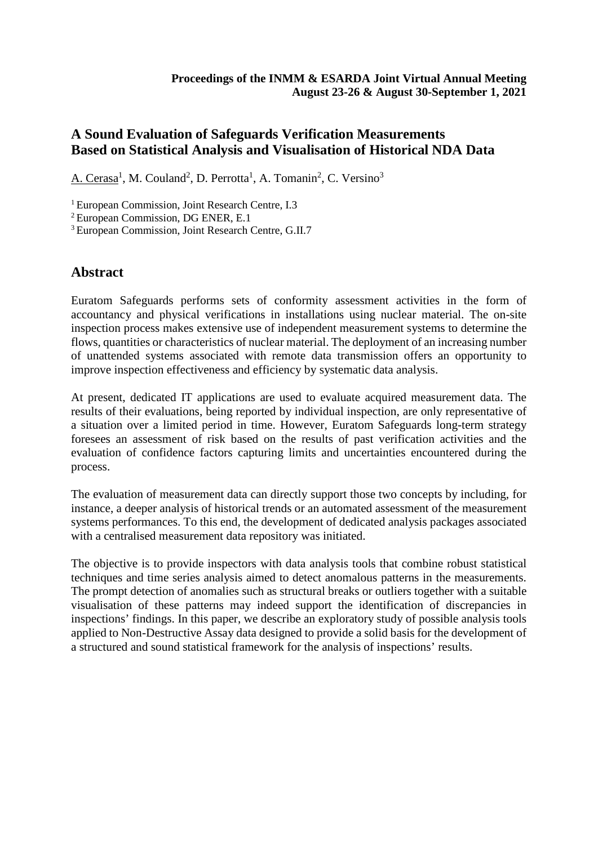# **A Sound Evaluation of Safeguards Verification Measurements Based on Statistical Analysis and Visualisation of Historical NDA Data**

A. Cerasa<sup>1</sup>, M. Couland<sup>2</sup>, D. Perrotta<sup>1</sup>, A. Tomanin<sup>2</sup>, C. Versino<sup>3</sup>

<sup>1</sup> European Commission, Joint Research Centre, I.3

2 European Commission, DG ENER, E.1

<sup>3</sup> European Commission, Joint Research Centre, G.II.7

### **Abstract**

Euratom Safeguards performs sets of conformity assessment activities in the form of accountancy and physical verifications in installations using nuclear material. The on-site inspection process makes extensive use of independent measurement systems to determine the flows, quantities or characteristics of nuclear material. The deployment of an increasing number of unattended systems associated with remote data transmission offers an opportunity to improve inspection effectiveness and efficiency by systematic data analysis.

At present, dedicated IT applications are used to evaluate acquired measurement data. The results of their evaluations, being reported by individual inspection, are only representative of a situation over a limited period in time. However, Euratom Safeguards long-term strategy foresees an assessment of risk based on the results of past verification activities and the evaluation of confidence factors capturing limits and uncertainties encountered during the process.

The evaluation of measurement data can directly support those two concepts by including, for instance, a deeper analysis of historical trends or an automated assessment of the measurement systems performances. To this end, the development of dedicated analysis packages associated with a centralised measurement data repository was initiated.

The objective is to provide inspectors with data analysis tools that combine robust statistical techniques and time series analysis aimed to detect anomalous patterns in the measurements. The prompt detection of anomalies such as structural breaks or outliers together with a suitable visualisation of these patterns may indeed support the identification of discrepancies in inspections' findings. In this paper, we describe an exploratory study of possible analysis tools applied to Non-Destructive Assay data designed to provide a solid basis for the development of a structured and sound statistical framework for the analysis of inspections' results.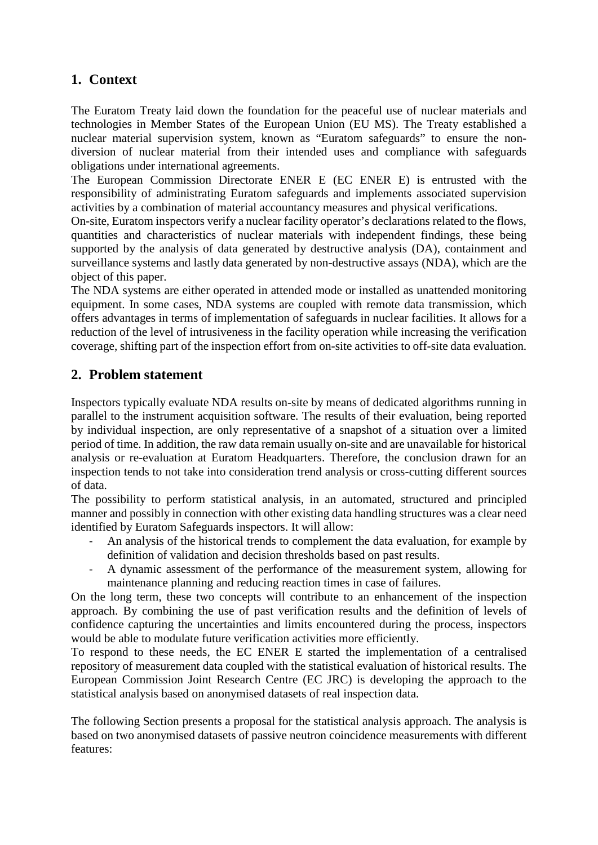# **1. Context**

The Euratom Treaty laid down the foundation for the peaceful use of nuclear materials and technologies in Member States of the European Union (EU MS). The Treaty established a nuclear material supervision system, known as "Euratom safeguards" to ensure the nondiversion of nuclear material from their intended uses and compliance with safeguards obligations under international agreements.

The European Commission Directorate ENER E (EC ENER E) is entrusted with the responsibility of administrating Euratom safeguards and implements associated supervision activities by a combination of material accountancy measures and physical verifications.

On-site, Euratom inspectors verify a nuclear facility operator's declarations related to the flows, quantities and characteristics of nuclear materials with independent findings, these being supported by the analysis of data generated by destructive analysis (DA), containment and surveillance systems and lastly data generated by non-destructive assays (NDA), which are the object of this paper.

The NDA systems are either operated in attended mode or installed as unattended monitoring equipment. In some cases, NDA systems are coupled with remote data transmission, which offers advantages in terms of implementation of safeguards in nuclear facilities. It allows for a reduction of the level of intrusiveness in the facility operation while increasing the verification coverage, shifting part of the inspection effort from on-site activities to off-site data evaluation.

### **2. Problem statement**

Inspectors typically evaluate NDA results on-site by means of dedicated algorithms running in parallel to the instrument acquisition software. The results of their evaluation, being reported by individual inspection, are only representative of a snapshot of a situation over a limited period of time. In addition, the raw data remain usually on-site and are unavailable for historical analysis or re-evaluation at Euratom Headquarters. Therefore, the conclusion drawn for an inspection tends to not take into consideration trend analysis or cross-cutting different sources of data.

The possibility to perform statistical analysis, in an automated, structured and principled manner and possibly in connection with other existing data handling structures was a clear need identified by Euratom Safeguards inspectors. It will allow:

- An analysis of the historical trends to complement the data evaluation, for example by definition of validation and decision thresholds based on past results.
- A dynamic assessment of the performance of the measurement system, allowing for maintenance planning and reducing reaction times in case of failures.

On the long term, these two concepts will contribute to an enhancement of the inspection approach. By combining the use of past verification results and the definition of levels of confidence capturing the uncertainties and limits encountered during the process, inspectors would be able to modulate future verification activities more efficiently.

To respond to these needs, the EC ENER E started the implementation of a centralised repository of measurement data coupled with the statistical evaluation of historical results. The European Commission Joint Research Centre (EC JRC) is developing the approach to the statistical analysis based on anonymised datasets of real inspection data.

The following Section presents a proposal for the statistical analysis approach. The analysis is based on two anonymised datasets of passive neutron coincidence measurements with different features: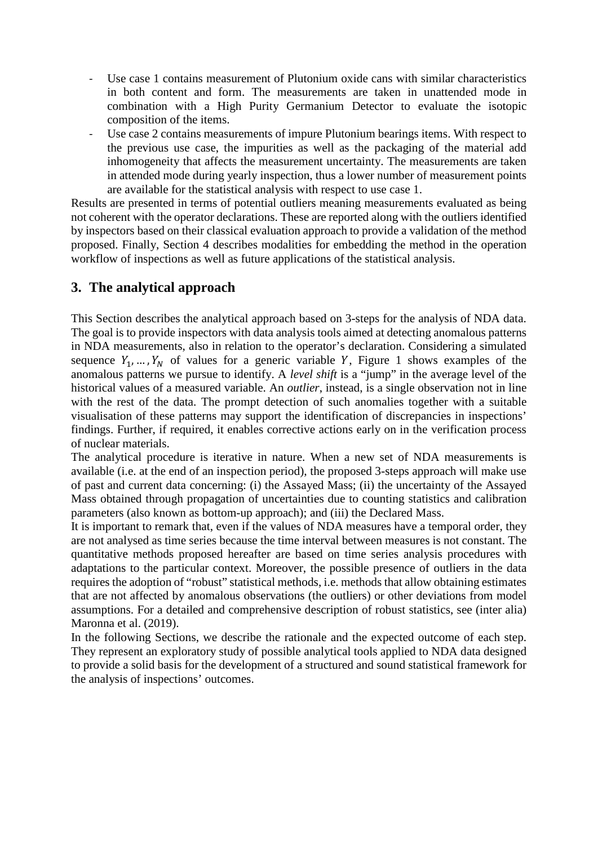- Use case 1 contains measurement of Plutonium oxide cans with similar characteristics in both content and form. The measurements are taken in unattended mode in combination with a High Purity Germanium Detector to evaluate the isotopic composition of the items.
- Use case 2 contains measurements of impure Plutonium bearings items. With respect to the previous use case, the impurities as well as the packaging of the material add inhomogeneity that affects the measurement uncertainty. The measurements are taken in attended mode during yearly inspection, thus a lower number of measurement points are available for the statistical analysis with respect to use case 1.

Results are presented in terms of potential outliers meaning measurements evaluated as being not coherent with the operator declarations. These are reported along with the outliers identified by inspectors based on their classical evaluation approach to provide a validation of the method proposed. Finally, Section 4 describes modalities for embedding the method in the operation workflow of inspections as well as future applications of the statistical analysis.

### **3. The analytical approach**

This Section describes the analytical approach based on 3-steps for the analysis of NDA data. The goal is to provide inspectors with data analysis tools aimed at detecting anomalous patterns in NDA measurements, also in relation to the operator's declaration. Considering a simulated sequence  $Y_1, ..., Y_N$  of values for a generic variable Y, Figure 1 shows examples of the anomalous patterns we pursue to identify. A *level shift* is a "jump" in the average level of the historical values of a measured variable. An *outlier*, instead, is a single observation not in line with the rest of the data. The prompt detection of such anomalies together with a suitable visualisation of these patterns may support the identification of discrepancies in inspections' findings. Further, if required, it enables corrective actions early on in the verification process of nuclear materials.

The analytical procedure is iterative in nature. When a new set of NDA measurements is available (i.e. at the end of an inspection period), the proposed 3-steps approach will make use of past and current data concerning: (i) the Assayed Mass; (ii) the uncertainty of the Assayed Mass obtained through propagation of uncertainties due to counting statistics and calibration parameters (also known as bottom-up approach); and (iii) the Declared Mass.

It is important to remark that, even if the values of NDA measures have a temporal order, they are not analysed as time series because the time interval between measures is not constant. The quantitative methods proposed hereafter are based on time series analysis procedures with adaptations to the particular context. Moreover, the possible presence of outliers in the data requires the adoption of "robust" statistical methods, i.e. methods that allow obtaining estimates that are not affected by anomalous observations (the outliers) or other deviations from model assumptions. For a detailed and comprehensive description of robust statistics, see (inter alia) Maronna et al. (2019).

In the following Sections, we describe the rationale and the expected outcome of each step. They represent an exploratory study of possible analytical tools applied to NDA data designed to provide a solid basis for the development of a structured and sound statistical framework for the analysis of inspections' outcomes.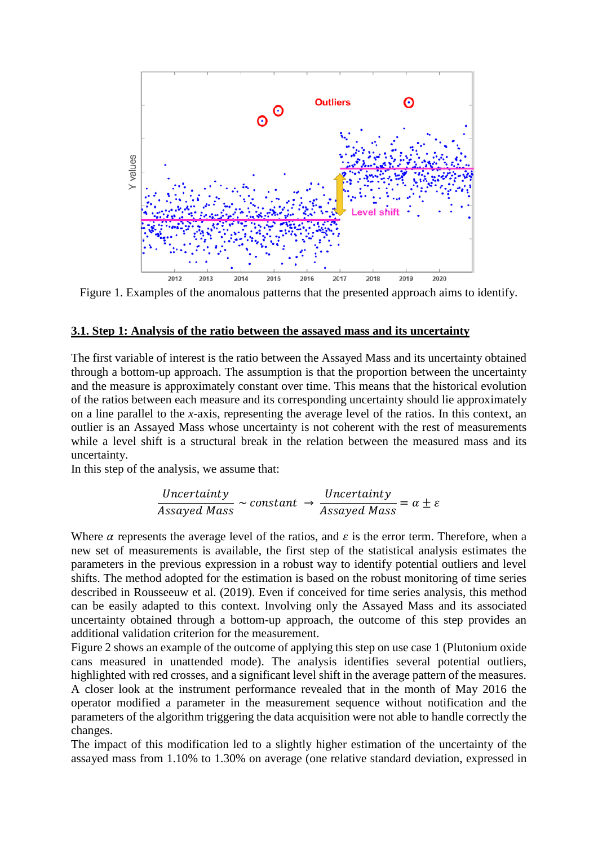

Figure 1. Examples of the anomalous patterns that the presented approach aims to identify.

#### **3.1. Step 1: Analysis of the ratio between the assayed mass and its uncertainty**

The first variable of interest is the ratio between the Assayed Mass and its uncertainty obtained through a bottom-up approach. The assumption is that the proportion between the uncertainty and the measure is approximately constant over time. This means that the historical evolution of the ratios between each measure and its corresponding uncertainty should lie approximately on a line parallel to the *x*-axis, representing the average level of the ratios. In this context, an outlier is an Assayed Mass whose uncertainty is not coherent with the rest of measurements while a level shift is a structural break in the relation between the measured mass and its uncertainty.

In this step of the analysis, we assume that:

$$
\frac{Uncertainty}{Assayed\ Mass} \sim constant \rightarrow \frac{Uncertainty}{Assayed\ Mass} = \alpha \pm \varepsilon
$$

Where  $\alpha$  represents the average level of the ratios, and  $\varepsilon$  is the error term. Therefore, when a new set of measurements is available, the first step of the statistical analysis estimates the parameters in the previous expression in a robust way to identify potential outliers and level shifts. The method adopted for the estimation is based on the robust monitoring of time series described in Rousseeuw et al. (2019). Even if conceived for time series analysis, this method can be easily adapted to this context. Involving only the Assayed Mass and its associated uncertainty obtained through a bottom-up approach, the outcome of this step provides an additional validation criterion for the measurement.

Figure 2 shows an example of the outcome of applying this step on use case 1 (Plutonium oxide cans measured in unattended mode). The analysis identifies several potential outliers, highlighted with red crosses, and a significant level shift in the average pattern of the measures. A closer look at the instrument performance revealed that in the month of May 2016 the operator modified a parameter in the measurement sequence without notification and the parameters of the algorithm triggering the data acquisition were not able to handle correctly the changes.

The impact of this modification led to a slightly higher estimation of the uncertainty of the assayed mass from 1.10% to 1.30% on average (one relative standard deviation, expressed in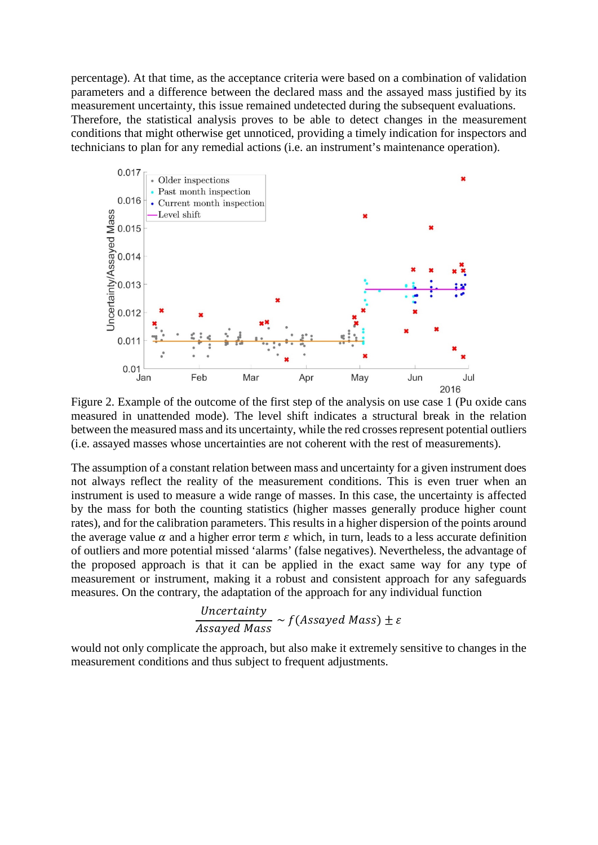percentage). At that time, as the acceptance criteria were based on a combination of validation parameters and a difference between the declared mass and the assayed mass justified by its measurement uncertainty, this issue remained undetected during the subsequent evaluations. Therefore, the statistical analysis proves to be able to detect changes in the measurement conditions that might otherwise get unnoticed, providing a timely indication for inspectors and technicians to plan for any remedial actions (i.e. an instrument's maintenance operation).



Figure 2. Example of the outcome of the first step of the analysis on use case 1 (Pu oxide cans measured in unattended mode). The level shift indicates a structural break in the relation between the measured mass and its uncertainty, while the red crosses represent potential outliers (i.e. assayed masses whose uncertainties are not coherent with the rest of measurements).

The assumption of a constant relation between mass and uncertainty for a given instrument does not always reflect the reality of the measurement conditions. This is even truer when an instrument is used to measure a wide range of masses. In this case, the uncertainty is affected by the mass for both the counting statistics (higher masses generally produce higher count rates), and for the calibration parameters. This results in a higher dispersion of the points around the average value  $\alpha$  and a higher error term  $\varepsilon$  which, in turn, leads to a less accurate definition of outliers and more potential missed 'alarms' (false negatives). Nevertheless, the advantage of the proposed approach is that it can be applied in the exact same way for any type of measurement or instrument, making it a robust and consistent approach for any safeguards measures. On the contrary, the adaptation of the approach for any individual function

*Uncertainty*  
*Assayed Mass* ~ 
$$
f
$$
 (*Assayed Mass*)  $\pm \varepsilon$ 

would not only complicate the approach, but also make it extremely sensitive to changes in the measurement conditions and thus subject to frequent adjustments.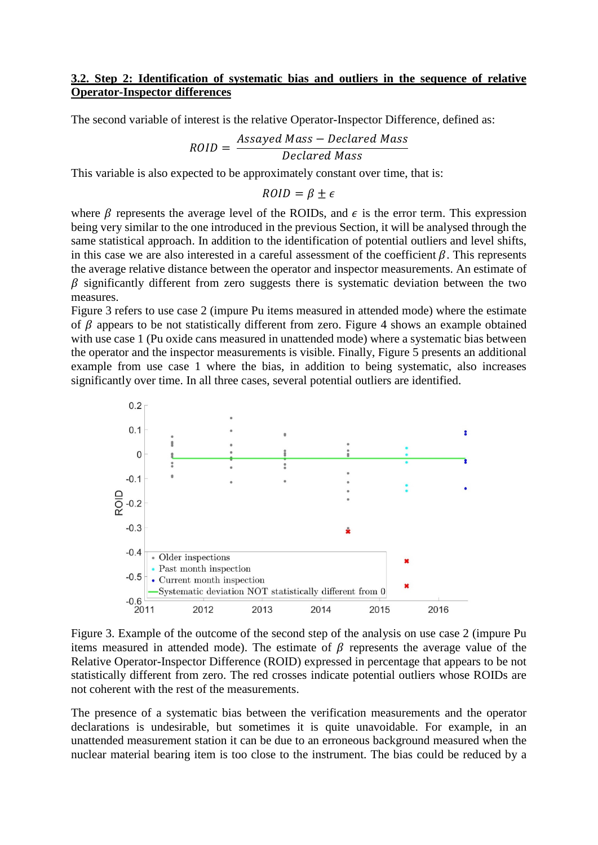### **3.2. Step 2: Identification of systematic bias and outliers in the sequence of relative Operator-Inspector differences**

The second variable of interest is the relative Operator-Inspector Difference, defined as:

$$
ROID = \frac{Assayed\ Mass - Declared\ Mass}{Declared\ Mass}
$$

This variable is also expected to be approximately constant over time, that is:

 $ROID = \beta \pm \epsilon$ 

where  $\beta$  represents the average level of the ROIDs, and  $\epsilon$  is the error term. This expression being very similar to the one introduced in the previous Section, it will be analysed through the same statistical approach. In addition to the identification of potential outliers and level shifts, in this case we are also interested in a careful assessment of the coefficient  $\beta$ . This represents the average relative distance between the operator and inspector measurements. An estimate of  $\beta$  significantly different from zero suggests there is systematic deviation between the two measures.

Figure 3 refers to use case 2 (impure Pu items measured in attended mode) where the estimate of  $\beta$  appears to be not statistically different from zero. Figure 4 shows an example obtained with use case 1 (Pu oxide cans measured in unattended mode) where a systematic bias between the operator and the inspector measurements is visible. Finally, Figure 5 presents an additional example from use case 1 where the bias, in addition to being systematic, also increases significantly over time. In all three cases, several potential outliers are identified.



Figure 3. Example of the outcome of the second step of the analysis on use case 2 (impure Pu items measured in attended mode). The estimate of  $\beta$  represents the average value of the Relative Operator-Inspector Difference (ROID) expressed in percentage that appears to be not statistically different from zero. The red crosses indicate potential outliers whose ROIDs are not coherent with the rest of the measurements.

The presence of a systematic bias between the verification measurements and the operator declarations is undesirable, but sometimes it is quite unavoidable. For example, in an unattended measurement station it can be due to an erroneous background measured when the nuclear material bearing item is too close to the instrument. The bias could be reduced by a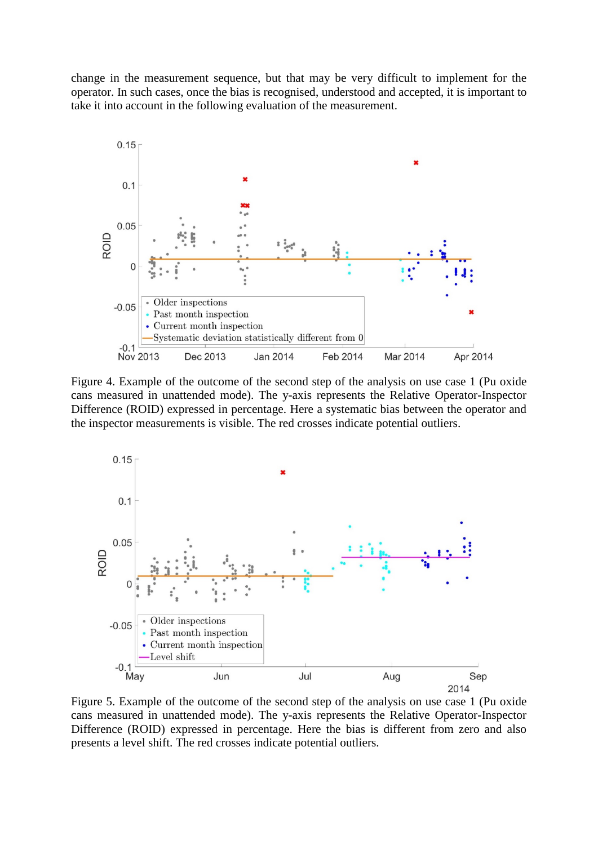change in the measurement sequence, but that may be very difficult to implement for the operator. In such cases, once the bias is recognised, understood and accepted, it is important to take it into account in the following evaluation of the measurement.



Figure 4. Example of the outcome of the second step of the analysis on use case 1 (Pu oxide cans measured in unattended mode). The y-axis represents the Relative Operator-Inspector Difference (ROID) expressed in percentage. Here a systematic bias between the operator and the inspector measurements is visible. The red crosses indicate potential outliers.



Figure 5. Example of the outcome of the second step of the analysis on use case 1 (Pu oxide cans measured in unattended mode). The y-axis represents the Relative Operator-Inspector Difference (ROID) expressed in percentage. Here the bias is different from zero and also presents a level shift. The red crosses indicate potential outliers.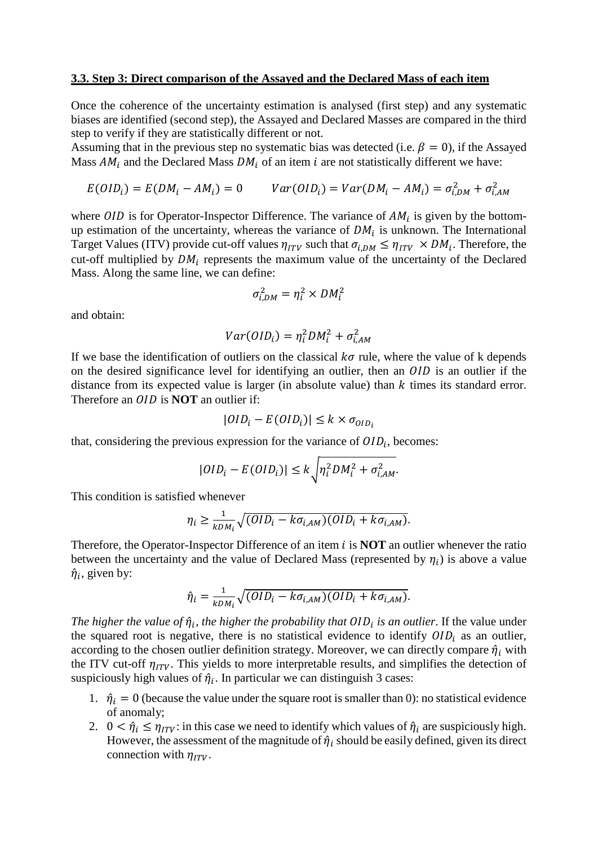#### **3.3. Step 3: Direct comparison of the Assayed and the Declared Mass of each item**

Once the coherence of the uncertainty estimation is analysed (first step) and any systematic biases are identified (second step), the Assayed and Declared Masses are compared in the third step to verify if they are statistically different or not.

Assuming that in the previous step no systematic bias was detected (i.e.  $\beta = 0$ ), if the Assayed Mass  $AM_i$  and the Declared Mass  $DM_i$  of an item i are not statistically different we have:

$$
E(OID_i) = E(DM_i - AM_i) = 0 \qquad Var(OID_i) = Var(DM_i - AM_i) = \sigma_{i,DM}^2 + \sigma_{i,AM}^2
$$

where  $OID$  is for Operator-Inspector Difference. The variance of  $AM_i$  is given by the bottomup estimation of the uncertainty, whereas the variance of  $DM_i$  is unknown. The International Target Values (ITV) provide cut-off values  $\eta_{ITV}$  such that  $\sigma_{i, DM} \leq \eta_{ITV} \times DM_i$ . Therefore, the cut-off multiplied by  $DM_i$  represents the maximum value of the uncertainty of the Declared Mass. Along the same line, we can define:

$$
\sigma_{i,DM}^2 = \eta_i^2 \times DM_i^2
$$

and obtain:

$$
Var(OD_i) = \eta_i^2 DM_i^2 + \sigma_{i,AM}^2
$$

If we base the identification of outliers on the classical  $k\sigma$  rule, where the value of k depends on the desired significance level for identifying an outlier, then an  $OID$  is an outlier if the distance from its expected value is larger (in absolute value) than  $k$  times its standard error. Therefore an *OID* is **NOT** an outlier if:

$$
|OID_i - E(OID_i)| \le k \times \sigma_{OID_i}
$$

that, considering the previous expression for the variance of  $OID_i$ , becomes:

$$
|OID_i - E(OID_i)| \le k \sqrt{\eta_i^2 DM_i^2 + \sigma_{i,AM}^2}.
$$

This condition is satisfied whenever

$$
\eta_i \ge \frac{1}{kDM_i} \sqrt{(OID_i - k\sigma_{i,AM})(OID_i + k\sigma_{i,AM})}.
$$

Therefore, the Operator-Inspector Difference of an item  $i$  is **NOT** an outlier whenever the ratio between the uncertainty and the value of Declared Mass (represented by  $\eta_i$ ) is above a value  $\hat{\eta}_i$ , given by:

$$
\hat{\eta}_i = \frac{1}{kDM_i} \sqrt{(OID_i - k\sigma_{i,AM})(OID_i + k\sigma_{i,AM})}.
$$

*The higher the value of*  $\hat{\eta}_i$ *, the higher the probability that*  $OID_i$  *is an outlier. If the value under* the squared root is negative, there is no statistical evidence to identify  $OID_i$  as an outlier, according to the chosen outlier definition strategy. Moreover, we can directly compare  $\hat{\eta}_i$  with the ITV cut-off  $\eta_{ITV}$ . This yields to more interpretable results, and simplifies the detection of suspiciously high values of  $\hat{\eta}_i$ . In particular we can distinguish 3 cases:

- 1.  $\hat{\eta}_i = 0$  (because the value under the square root is smaller than 0): no statistical evidence of anomaly;
- 2.  $0 < \hat{\eta}_i \le \eta_{ITV}$ : in this case we need to identify which values of  $\hat{\eta}_i$  are suspiciously high. However, the assessment of the magnitude of  $\hat{\eta}_i$  should be easily defined, given its direct connection with  $\eta_{ITV}$ .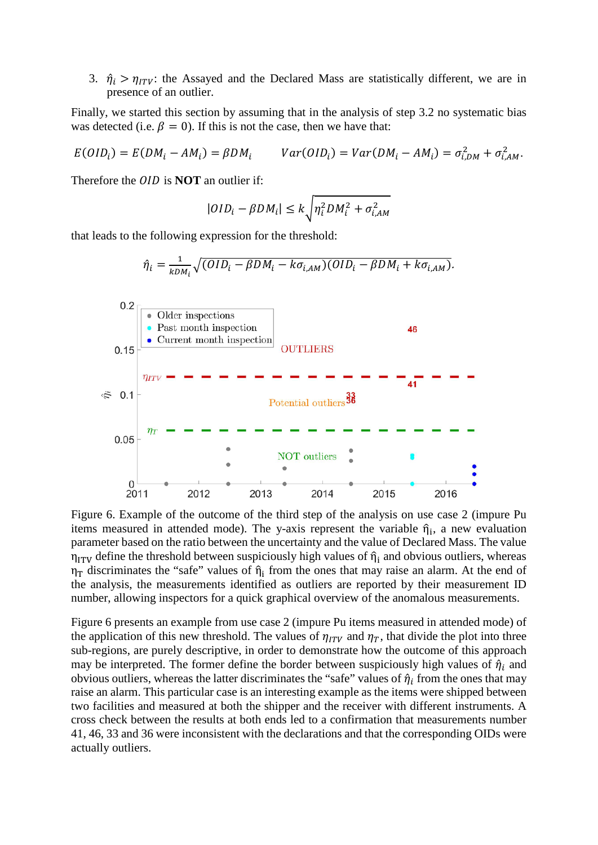3.  $\hat{\eta}_i > \eta_{ITV}$ : the Assayed and the Declared Mass are statistically different, we are in presence of an outlier.

Finally, we started this section by assuming that in the analysis of step 3.2 no systematic bias was detected (i.e.  $\beta = 0$ ). If this is not the case, then we have that:

$$
E(OD_i) = E(DM_i - AM_i) = \beta DM_i \qquad Var(OD_i) = Var(DM_i - AM_i) = \sigma_{i,DM}^2 + \sigma_{i,AM}^2.
$$

Therefore the *OID* is **NOT** an outlier if:

$$
|OID_i - \beta DM_i| \le k \sqrt{\eta_i^2 DM_i^2 + \sigma_{i,AM}^2}
$$

that leads to the following expression for the threshold:



Figure 6. Example of the outcome of the third step of the analysis on use case 2 (impure Pu items measured in attended mode). The y-axis represent the variable  $\hat{\eta}_i$ , a new evaluation parameter based on the ratio between the uncertainty and the value of Declared Mass. The value  $\eta_{ITV}$  define the threshold between suspiciously high values of  $\hat{\eta}_i$  and obvious outliers, whereas  $\eta_T$  discriminates the "safe" values of  $\hat{\eta}_i$  from the ones that may raise an alarm. At the end of the analysis, the measurements identified as outliers are reported by their measurement ID number, allowing inspectors for a quick graphical overview of the anomalous measurements.

Figure 6 presents an example from use case 2 (impure Pu items measured in attended mode) of the application of this new threshold. The values of  $\eta_{ITV}$  and  $\eta_T$ , that divide the plot into three sub-regions, are purely descriptive, in order to demonstrate how the outcome of this approach may be interpreted. The former define the border between suspiciously high values of  $\hat{\eta}_i$  and obvious outliers, whereas the latter discriminates the "safe" values of  $\hat{\eta}_i$  from the ones that may raise an alarm. This particular case is an interesting example as the items were shipped between two facilities and measured at both the shipper and the receiver with different instruments. A cross check between the results at both ends led to a confirmation that measurements number 41, 46, 33 and 36 were inconsistent with the declarations and that the corresponding OIDs were actually outliers.